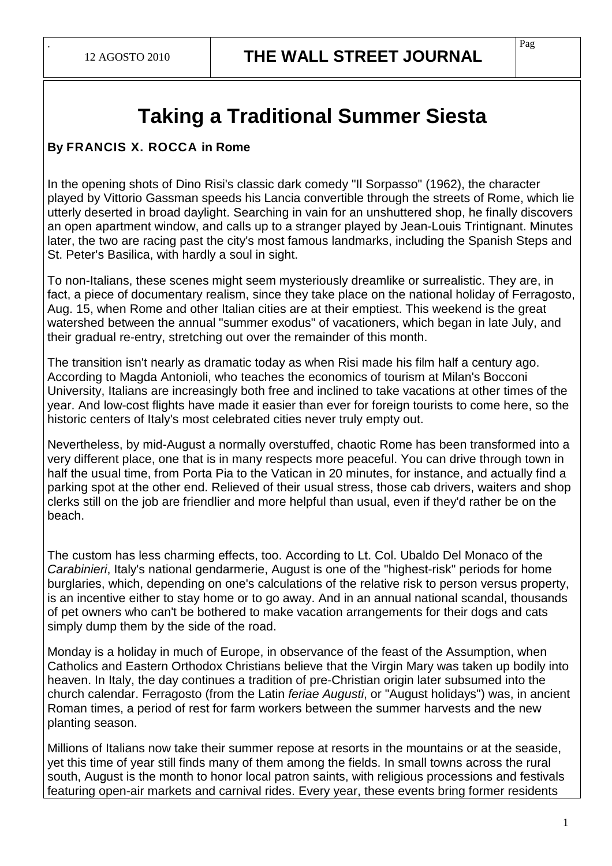.

## **Taking a Traditional Summer Siesta**

## **By FRANCIS X. ROCCA in Rome**

In the opening shots of Dino Risi's classic dark comedy "Il Sorpasso" (1962), the character played by Vittorio Gassman speeds his Lancia convertible through the streets of Rome, which lie utterly deserted in broad daylight. Searching in vain for an unshuttered shop, he finally discovers an open apartment window, and calls up to a stranger played by Jean-Louis Trintignant. Minutes later, the two are racing past the city's most famous landmarks, including the Spanish Steps and St. Peter's Basilica, with hardly a soul in sight.

To non-Italians, these scenes might seem mysteriously dreamlike or surrealistic. They are, in fact, a piece of documentary realism, since they take place on the national holiday of Ferragosto, Aug. 15, when Rome and other Italian cities are at their emptiest. This weekend is the great watershed between the annual "summer exodus" of vacationers, which began in late July, and their gradual re-entry, stretching out over the remainder of this month.

The transition isn't nearly as dramatic today as when Risi made his film half a century ago. According to Magda Antonioli, who teaches the economics of tourism at Milan's Bocconi University, Italians are increasingly both free and inclined to take vacations at other times of the year. And low-cost flights have made it easier than ever for foreign tourists to come here, so the historic centers of Italy's most celebrated cities never truly empty out.

Nevertheless, by mid-August a normally overstuffed, chaotic Rome has been transformed into a very different place, one that is in many respects more peaceful. You can drive through town in half the usual time, from Porta Pia to the Vatican in 20 minutes, for instance, and actually find a parking spot at the other end. Relieved of their usual stress, those cab drivers, waiters and shop clerks still on the job are friendlier and more helpful than usual, even if they'd rather be on the beach.

The custom has less charming effects, too. According to Lt. Col. Ubaldo Del Monaco of the Carabinieri, Italy's national gendarmerie, August is one of the "highest-risk" periods for home burglaries, which, depending on one's calculations of the relative risk to person versus property, is an incentive either to stay home or to go away. And in an annual national scandal, thousands of pet owners who can't be bothered to make vacation arrangements for their dogs and cats simply dump them by the side of the road.

Monday is a holiday in much of Europe, in observance of the feast of the Assumption, when Catholics and Eastern Orthodox Christians believe that the Virgin Mary was taken up bodily into heaven. In Italy, the day continues a tradition of pre-Christian origin later subsumed into the church calendar. Ferragosto (from the Latin feriae Augusti, or "August holidays") was, in ancient Roman times, a period of rest for farm workers between the summer harvests and the new planting season.

Millions of Italians now take their summer repose at resorts in the mountains or at the seaside, yet this time of year still finds many of them among the fields. In small towns across the rural south, August is the month to honor local patron saints, with religious processions and festivals featuring open-air markets and carnival rides. Every year, these events bring former residents